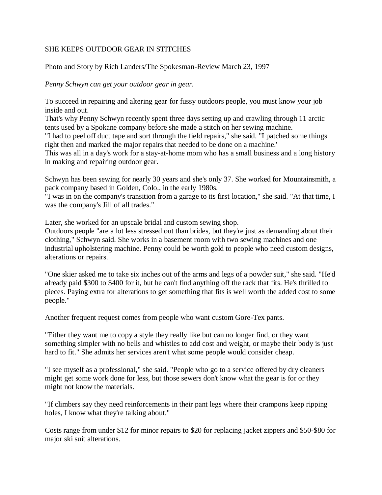## SHE KEEPS OUTDOOR GEAR IN STITCHES

Photo and Story by Rich Landers/The Spokesman-Review March 23, 1997

*Penny Schwyn can get your outdoor gear in gear.*

To succeed in repairing and altering gear for fussy outdoors people, you must know your job inside and out.

That's why Penny Schwyn recently spent three days setting up and crawling through 11 arctic tents used by a Spokane company before she made a stitch on her sewing machine.

"I had to peel off duct tape and sort through the field repairs," she said. "I patched some things right then and marked the major repairs that needed to be done on a machine.'

This was all in a day's work for a stay-at-home mom who has a small business and a long history in making and repairing outdoor gear.

Schwyn has been sewing for nearly 30 years and she's only 37. She worked for Mountainsmith, a pack company based in Golden, Colo., in the early 1980s.

"I was in on the company's transition from a garage to its first location," she said. "At that time, I was the company's Jill of all trades."

Later, she worked for an upscale bridal and custom sewing shop.

Outdoors people "are a lot less stressed out than brides, but they're just as demanding about their clothing," Schwyn said. She works in a basement room with two sewing machines and one industrial upholstering machine. Penny could be worth gold to people who need custom designs, alterations or repairs.

"One skier asked me to take six inches out of the arms and legs of a powder suit," she said. "He'd already paid \$300 to \$400 for it, but he can't find anything off the rack that fits. He's thrilled to pieces. Paying extra for alterations to get something that fits is well worth the added cost to some people."

Another frequent request comes from people who want custom Gore-Tex pants.

"Either they want me to copy a style they really like but can no longer find, or they want something simpler with no bells and whistles to add cost and weight, or maybe their body is just hard to fit." She admits her services aren't what some people would consider cheap.

"I see myself as a professional," she said. "People who go to a service offered by dry cleaners might get some work done for less, but those sewers don't know what the gear is for or they might not know the materials.

"If climbers say they need reinforcements in their pant legs where their crampons keep ripping holes, I know what they're talking about."

Costs range from under \$12 for minor repairs to \$20 for replacing jacket zippers and \$50-\$80 for major ski suit alterations.